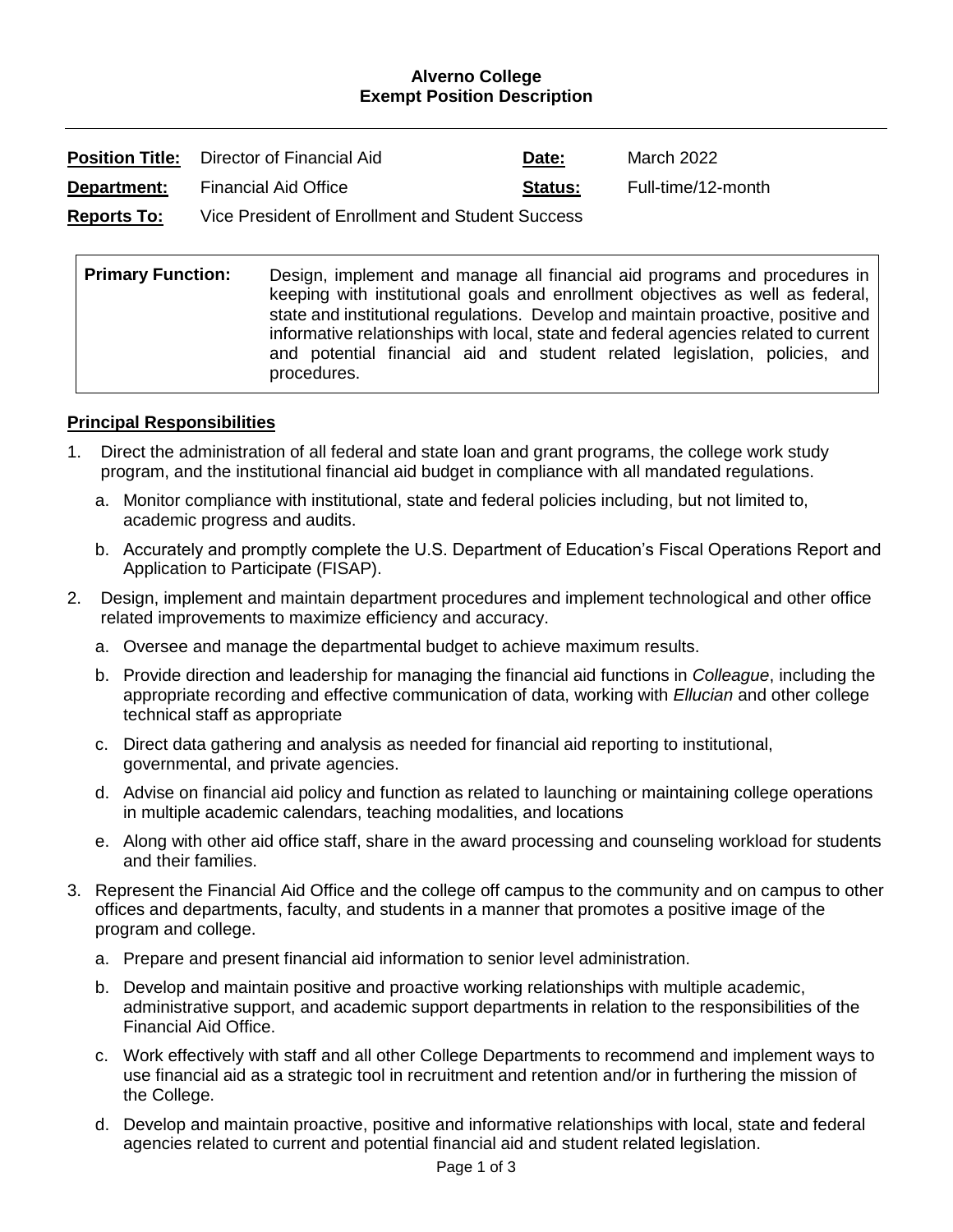#### **Alverno College Exempt Position Description**

|                    | <b>Position Title:</b> Director of Financial Aid | Date:          | March 2022         |
|--------------------|--------------------------------------------------|----------------|--------------------|
| Department:        | <b>Financial Aid Office</b>                      | <b>Status:</b> | Full-time/12-month |
| <b>Reports To:</b> | Vice President of Enrollment and Student Success |                |                    |

| <b>Primary Function:</b> | Design, implement and manage all financial aid programs and procedures in<br>keeping with institutional goals and enrollment objectives as well as federal,                                                                                                           |  |  |
|--------------------------|-----------------------------------------------------------------------------------------------------------------------------------------------------------------------------------------------------------------------------------------------------------------------|--|--|
|                          | state and institutional regulations. Develop and maintain proactive, positive and<br>informative relationships with local, state and federal agencies related to current<br>and potential financial aid and student related legislation, policies, and<br>procedures. |  |  |

#### **Principal Responsibilities**

- 1. Direct the administration of all federal and state loan and grant programs, the college work study program, and the institutional financial aid budget in compliance with all mandated regulations.
	- a. Monitor compliance with institutional, state and federal policies including, but not limited to, academic progress and audits.
	- b. Accurately and promptly complete the U.S. Department of Education's Fiscal Operations Report and Application to Participate (FISAP).
- 2. Design, implement and maintain department procedures and implement technological and other office related improvements to maximize efficiency and accuracy.
	- a. Oversee and manage the departmental budget to achieve maximum results.
	- b. Provide direction and leadership for managing the financial aid functions in *Colleague*, including the appropriate recording and effective communication of data, working with *Ellucian* and other college technical staff as appropriate
	- c. Direct data gathering and analysis as needed for financial aid reporting to institutional, governmental, and private agencies.
	- d. Advise on financial aid policy and function as related to launching or maintaining college operations in multiple academic calendars, teaching modalities, and locations
	- e. Along with other aid office staff, share in the award processing and counseling workload for students and their families.
- 3. Represent the Financial Aid Office and the college off campus to the community and on campus to other offices and departments, faculty, and students in a manner that promotes a positive image of the program and college.
	- a. Prepare and present financial aid information to senior level administration.
	- b. Develop and maintain positive and proactive working relationships with multiple academic, administrative support, and academic support departments in relation to the responsibilities of the Financial Aid Office.
	- c. Work effectively with staff and all other College Departments to recommend and implement ways to use financial aid as a strategic tool in recruitment and retention and/or in furthering the mission of the College.
	- d. Develop and maintain proactive, positive and informative relationships with local, state and federal agencies related to current and potential financial aid and student related legislation.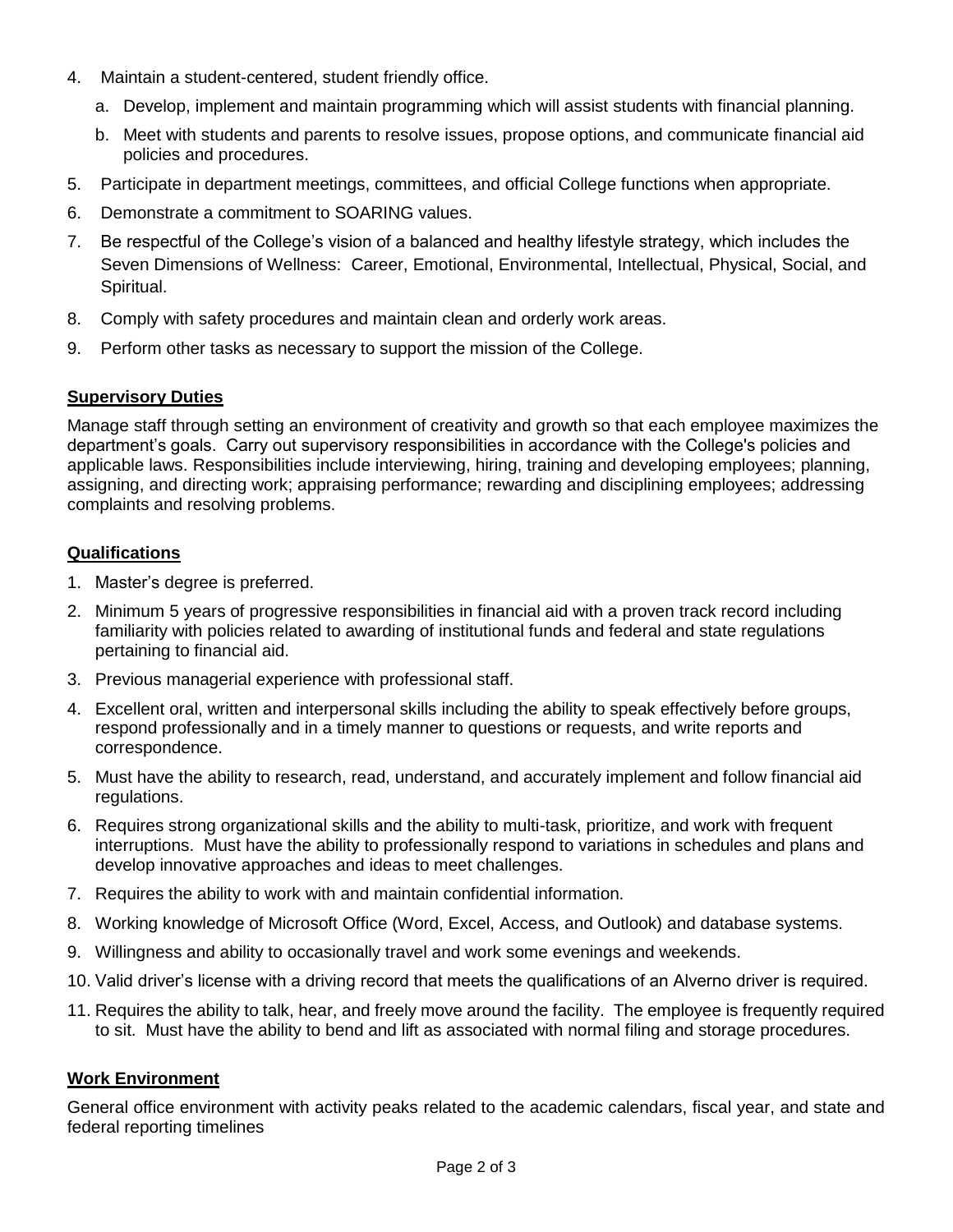- 4. Maintain a student-centered, student friendly office.
	- a. Develop, implement and maintain programming which will assist students with financial planning.
	- b. Meet with students and parents to resolve issues, propose options, and communicate financial aid policies and procedures.
- 5. Participate in department meetings, committees, and official College functions when appropriate.
- 6. Demonstrate a commitment to SOARING values.
- 7. Be respectful of the College's vision of a balanced and healthy lifestyle strategy, which includes the Seven Dimensions of Wellness: Career, Emotional, Environmental, Intellectual, Physical, Social, and Spiritual.
- 8. Comply with safety procedures and maintain clean and orderly work areas.
- 9. Perform other tasks as necessary to support the mission of the College.

### **Supervisory Duties**

Manage staff through setting an environment of creativity and growth so that each employee maximizes the department's goals. Carry out supervisory responsibilities in accordance with the College's policies and applicable laws. Responsibilities include interviewing, hiring, training and developing employees; planning, assigning, and directing work; appraising performance; rewarding and disciplining employees; addressing complaints and resolving problems.

### **Qualifications**

- 1. Master's degree is preferred.
- 2. Minimum 5 years of progressive responsibilities in financial aid with a proven track record including familiarity with policies related to awarding of institutional funds and federal and state regulations pertaining to financial aid.
- 3. Previous managerial experience with professional staff.
- 4. Excellent oral, written and interpersonal skills including the ability to speak effectively before groups, respond professionally and in a timely manner to questions or requests, and write reports and correspondence.
- 5. Must have the ability to research, read, understand, and accurately implement and follow financial aid regulations.
- 6. Requires strong organizational skills and the ability to multi-task, prioritize, and work with frequent interruptions. Must have the ability to professionally respond to variations in schedules and plans and develop innovative approaches and ideas to meet challenges.
- 7. Requires the ability to work with and maintain confidential information.
- 8. Working knowledge of Microsoft Office (Word, Excel, Access, and Outlook) and database systems.
- 9. Willingness and ability to occasionally travel and work some evenings and weekends.
- 10. Valid driver's license with a driving record that meets the qualifications of an Alverno driver is required.
- 11. Requires the ability to talk, hear, and freely move around the facility. The employee is frequently required to sit. Must have the ability to bend and lift as associated with normal filing and storage procedures.

## **Work Environment**

General office environment with activity peaks related to the academic calendars, fiscal year, and state and federal reporting timelines